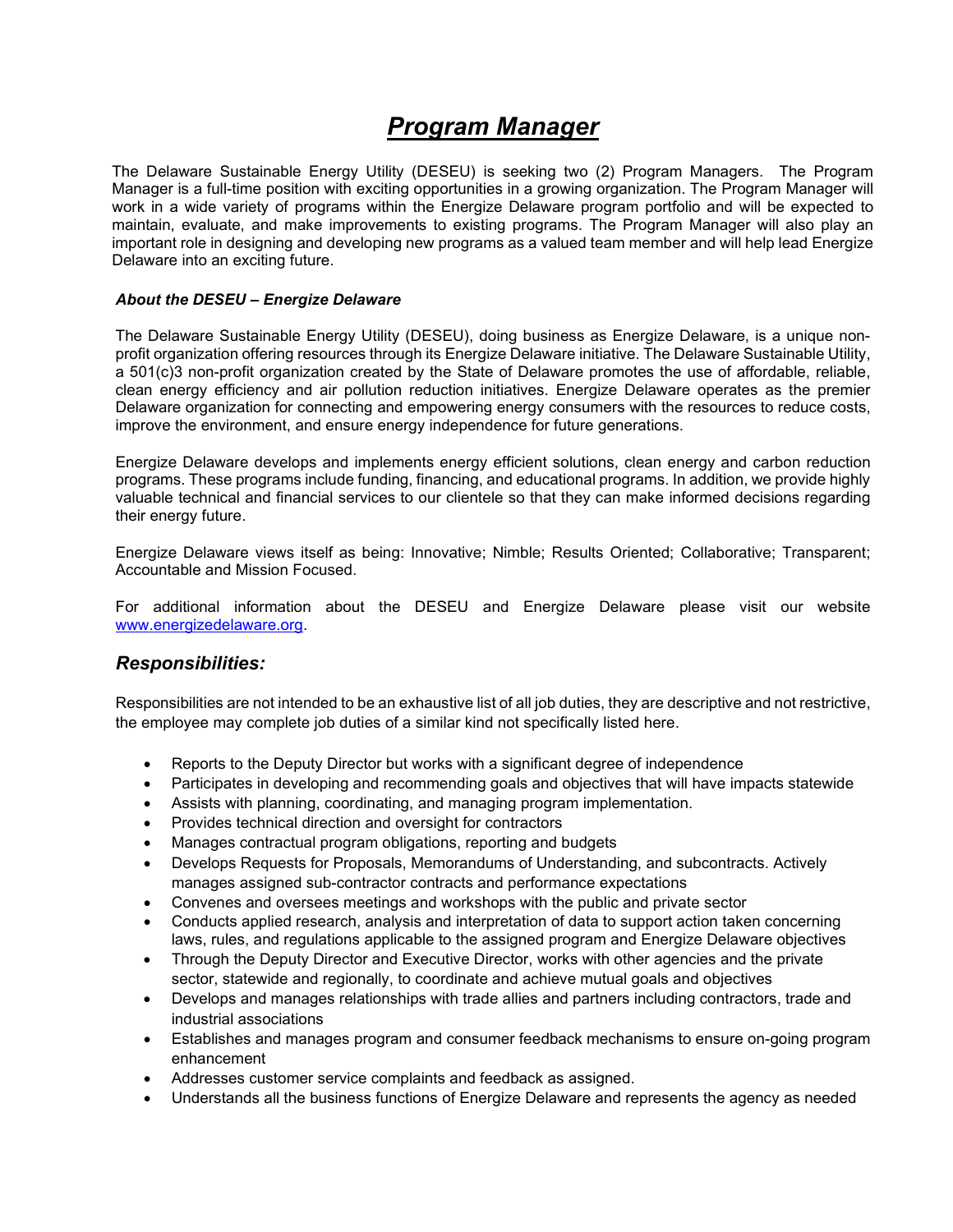# *Program Manager*

The Delaware Sustainable Energy Utility (DESEU) is seeking two (2) Program Managers. The Program Manager is a full-time position with exciting opportunities in a growing organization. The Program Manager will work in a wide variety of programs within the Energize Delaware program portfolio and will be expected to maintain, evaluate, and make improvements to existing programs. The Program Manager will also play an important role in designing and developing new programs as a valued team member and will help lead Energize Delaware into an exciting future.

### *About the DESEU – Energize Delaware*

The Delaware Sustainable Energy Utility (DESEU), doing business as Energize Delaware, is a unique nonprofit organization offering resources through its Energize Delaware initiative. The Delaware Sustainable Utility, a 501(c)3 non-profit organization created by the State of Delaware promotes the use of affordable, reliable, clean energy efficiency and air pollution reduction initiatives. Energize Delaware operates as the premier Delaware organization for connecting and empowering energy consumers with the resources to reduce costs, improve the environment, and ensure energy independence for future generations.

Energize Delaware develops and implements energy efficient solutions, clean energy and carbon reduction programs. These programs include funding, financing, and educational programs. In addition, we provide highly valuable technical and financial services to our clientele so that they can make informed decisions regarding their energy future.

Energize Delaware views itself as being: Innovative; Nimble; Results Oriented; Collaborative; Transparent; Accountable and Mission Focused.

For additional information about the DESEU and Energize Delaware please visit our website [www.energizedelaware.org.](http://www.energizedelaware.org/)

## *Responsibilities:*

Responsibilities are not intended to be an exhaustive list of all job duties, they are descriptive and not restrictive, the employee may complete job duties of a similar kind not specifically listed here.

- Reports to the Deputy Director but works with a significant degree of independence
- Participates in developing and recommending goals and objectives that will have impacts statewide
- Assists with planning, coordinating, and managing program implementation.
- Provides technical direction and oversight for contractors
- Manages contractual program obligations, reporting and budgets
- Develops Requests for Proposals, Memorandums of Understanding, and subcontracts. Actively manages assigned sub-contractor contracts and performance expectations
- Convenes and oversees meetings and workshops with the public and private sector
- Conducts applied research, analysis and interpretation of data to support action taken concerning laws, rules, and regulations applicable to the assigned program and Energize Delaware objectives
- Through the Deputy Director and Executive Director, works with other agencies and the private sector, statewide and regionally, to coordinate and achieve mutual goals and objectives
- Develops and manages relationships with trade allies and partners including contractors, trade and industrial associations
- Establishes and manages program and consumer feedback mechanisms to ensure on-going program enhancement
- Addresses customer service complaints and feedback as assigned.
- Understands all the business functions of Energize Delaware and represents the agency as needed